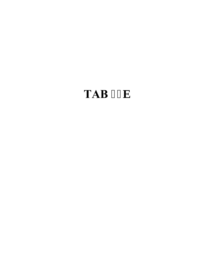## **TAB 46d**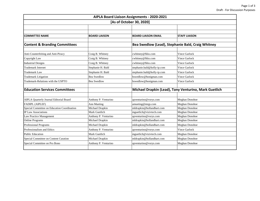| AIPLA Board Liaison Assignments - 2020-2021<br>[As of October 30, 2020] |                      |                                                       |                      |  |  |  |
|-------------------------------------------------------------------------|----------------------|-------------------------------------------------------|----------------------|--|--|--|
|                                                                         |                      |                                                       |                      |  |  |  |
|                                                                         |                      |                                                       |                      |  |  |  |
| <b>COMMITTEE NAME</b>                                                   | <b>BOARD LIAISON</b> | <b>BOARD LIAISON EMAIL</b>                            | <b>STAFF LIAISON</b> |  |  |  |
| <b>Content &amp; Branding Committees</b>                                |                      | Bea Swedlow (Lead), Stephanie Bald, Craig Whitney     |                      |  |  |  |
| Anti-Counterfeiting and Anti-Piracy                                     | Craig B. Whitney     | cwhitney@fkks.com                                     | <b>Vince Garlock</b> |  |  |  |
| Copyright Law                                                           | Craig B. Whitney     | cwhitney@fkks.com                                     | <b>Vince Garlock</b> |  |  |  |
| <b>Industrial Designs</b>                                               | Craig B. Whitney     | cwhitney@fkks.com                                     | Vince Garlock        |  |  |  |
| <b>Trademark Internet</b>                                               | Stephanie H. Bald    | stephanie.bald@kelly-ip.com                           | Vince Garlock        |  |  |  |
| <b>Trademark Law</b>                                                    | Stephanie H. Bald    | stephanie.bald@kelly-ip.com                           | Vince Garlock        |  |  |  |
| <b>Trademark Litigation</b>                                             | <b>Bea Swedlow</b>   | bswedlow@honigman.com                                 | <b>Vince Garlock</b> |  |  |  |
| Trademark-Relations with the USPTO                                      | <b>Bea Swedlow</b>   | bswedlow@honigman.com                                 | Vince Garlock        |  |  |  |
| <b>Education Services Committees</b>                                    |                      | Michael Drapkin (Lead), Tony Venturino, Mark Guetlich |                      |  |  |  |
|                                                                         |                      |                                                       |                      |  |  |  |
| AIPLA Quarterly Journal Editorial Board                                 | Anthony P. Venturino | apventurino@vorys.com                                 | Meghan Donohoe       |  |  |  |
| <b>FADIPL (AIPLEF)</b>                                                  | Ann Mueting          | amueting@mrgs.com                                     | Meghan Donohoe       |  |  |  |
| Special Committee on Education Coordination                             | Michael Drapkin      | mldrapkin@hollandhart.com                             | Meghan Donohoe       |  |  |  |
| <b>IP Law Associations</b>                                              | Mark Guetlich        | mguetlich@vizivtech.com                               | Meghan Donohoe       |  |  |  |
| Law Practice Management                                                 | Anthony P. Venturino | apventurino@vorys.com                                 | Meghan Donohoe       |  |  |  |
| <b>Online Programs</b>                                                  | Michael Drapkin      | mldrapkin@hollandhart.com                             | Meghan Donohoe       |  |  |  |
| Professional Programs                                                   | Michael Drapkin      | mldrapkin@hollandhart.com                             | Meghan Donohoe       |  |  |  |
| Professionalism and Ethics                                              | Anthony P. Venturino | apventurino@vorys.com                                 | Vince Garlock        |  |  |  |
| <b>Public Education</b>                                                 | Mark Guetlich        | mguetlich@vizivtech.com                               | Meghan Donohoe       |  |  |  |
| Special Committee on Content Curation                                   | Michael Drapkin      | mldrapkin@hollandhart.com                             | Meghan Donohoe       |  |  |  |
| Special Committee on Pro Bono                                           | Anthony P. Venturino | apventurino@vorys.com                                 | Meghan Donohoe       |  |  |  |
|                                                                         |                      |                                                       |                      |  |  |  |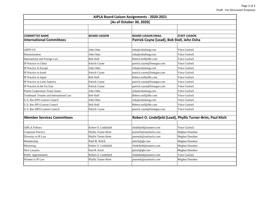| AIPLA Board Liaison Assignments - 2020-2021<br>[As of October 30, 2020] |                      |                                            |                                                              |  |  |  |
|-------------------------------------------------------------------------|----------------------|--------------------------------------------|--------------------------------------------------------------|--|--|--|
|                                                                         |                      |                                            |                                                              |  |  |  |
|                                                                         |                      |                                            |                                                              |  |  |  |
| <b>COMMITTEE NAME</b>                                                   | <b>BOARD LIAISON</b> | <b>BOARD LIAISON EMAIL</b>                 | <b>STAFF LIAISON</b>                                         |  |  |  |
| <b>International Committees</b>                                         |                      | Patrick Coyne (Lead), Bob Stoll, John Osha |                                                              |  |  |  |
|                                                                         |                      |                                            |                                                              |  |  |  |
| AIPPI-US                                                                | John Osha            | osha@oshaliang.com                         | <b>Vince Garlock</b>                                         |  |  |  |
| Harmonization                                                           | John Osha            | osha@oshaliang.com                         | <b>Vince Garlock</b>                                         |  |  |  |
| International and Foreign Law                                           | <b>Bob Stoll</b>     | Robert.stoll@dbr.com                       | Vince Garlock                                                |  |  |  |
| IP Practice in China                                                    | Patrick Coyne        | patrick.coyne@finnegan.com                 | <b>Vince Garlock</b>                                         |  |  |  |
| IP Practice In Europe                                                   | John Osha            | osha@oshaliang.com                         | Vince Garlock                                                |  |  |  |
| IP Practice in Israel                                                   | Patrick Coyne        | patrick.coyne@finnegan.com                 | <b>Vince Garlock</b>                                         |  |  |  |
| IP Practice in Japan                                                    | <b>Bob Stoll</b>     | Robert.stoll@dbr.com                       | <b>Vince Garlock</b>                                         |  |  |  |
| IP Practice in Latin America                                            | Patrick Coyne        | patrick.coyne@finnegan.com                 | Vince Garlock                                                |  |  |  |
| IP Practice in the Far East                                             | Patrick Coyne        | patrick.coyne@finnegan.com                 | Vince Garlock                                                |  |  |  |
| <b>Patent Cooperation Treaty Issues</b>                                 | John Osha            | osha@oshaliang.com                         | <b>Vince Garlock</b>                                         |  |  |  |
| Trademark Treaties and International Law                                | <b>Bob Stoll</b>     | Robert.stoll@dbr.com                       | <b>Vince Garlock</b>                                         |  |  |  |
| U.S. Bar-EPO Liaison Council                                            | John Osha            | osha@oshaliang.com                         | Vince Garlock                                                |  |  |  |
| U.S. Bar-JPO Liaison Council                                            | <b>Bob Stoll</b>     | Robert.stoll@dbr.com                       | Vince Garlock                                                |  |  |  |
| U.S. Bar-SIPO Liaison Council                                           | Patrick Coyne        | patrick.coyne@finnegan.com                 | Vince Garlock                                                |  |  |  |
|                                                                         |                      |                                            |                                                              |  |  |  |
| <b>Member Services Committees</b>                                       |                      |                                            | Robert O. Lindefjeld (Lead), Phyllis Turner-Brim, Paul Kitch |  |  |  |
|                                                                         |                      |                                            |                                                              |  |  |  |
| <b>AIPLA Fellows</b>                                                    | Robert O. Lindefjeld | rlindefjeld@nantero.com                    | <b>Vince Garlock</b>                                         |  |  |  |
| Corporate Practice                                                      | Phyllis Turner-Brim  | pturnerb@starbucks.com                     | Meghan Donohoe                                               |  |  |  |
| Diversity in IP Law                                                     | Phyllis Turner-Brim  | pturnerb@starbucks.com                     | Meghan Donohoe                                               |  |  |  |
| Membership                                                              | Paul R. Kitch        | pkitch@gbc.law                             | Meghan Donohoe                                               |  |  |  |
| Mentoring                                                               | Robert O. Lindefjeld | rlindefjeld@nantero.com                    | Meghan Donohoe                                               |  |  |  |
| New Lawyers                                                             | Paul R. Kitch        | pkitch@gbc.law                             | Meghan Donohoe                                               |  |  |  |
| <b>Public Appointments</b>                                              | Robert O. Lindefjeld | rlindefjeld@nantero.com                    | <b>Vince Garlock</b>                                         |  |  |  |
| Women in IP Law                                                         | Phyllis Turner-Brim  | pturnerb@starbucks.com                     | Meghan Donohoe                                               |  |  |  |
|                                                                         |                      |                                            |                                                              |  |  |  |